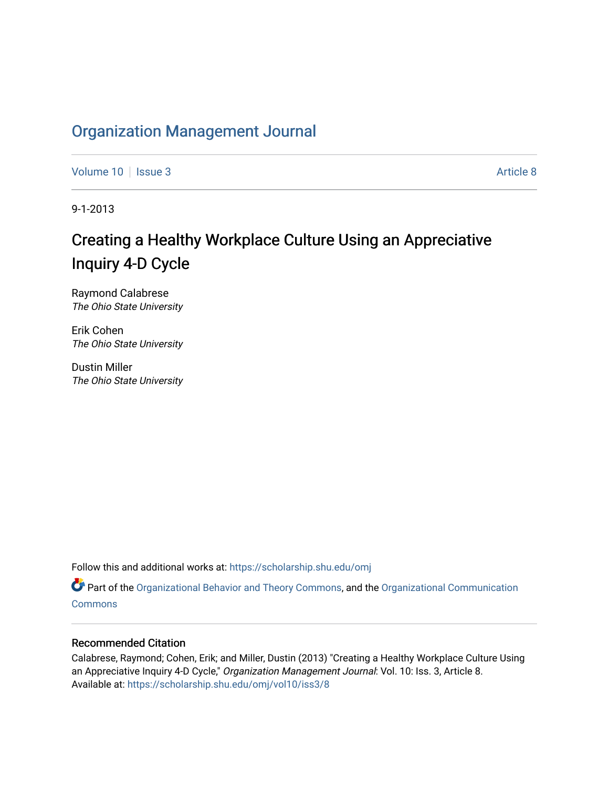# [Organization Management Journal](https://scholarship.shu.edu/omj)

[Volume 10](https://scholarship.shu.edu/omj/vol10) | [Issue 3](https://scholarship.shu.edu/omj/vol10/iss3) Article 8

9-1-2013

# Creating a Healthy Workplace Culture Using an Appreciative Inquiry 4-D Cycle

Raymond Calabrese The Ohio State University

Erik Cohen The Ohio State University

Dustin Miller The Ohio State University

Follow this and additional works at: [https://scholarship.shu.edu/omj](https://scholarship.shu.edu/omj?utm_source=scholarship.shu.edu%2Fomj%2Fvol10%2Fiss3%2F8&utm_medium=PDF&utm_campaign=PDFCoverPages) 

Part of the [Organizational Behavior and Theory Commons,](http://network.bepress.com/hgg/discipline/639?utm_source=scholarship.shu.edu%2Fomj%2Fvol10%2Fiss3%2F8&utm_medium=PDF&utm_campaign=PDFCoverPages) and the [Organizational Communication](http://network.bepress.com/hgg/discipline/335?utm_source=scholarship.shu.edu%2Fomj%2Fvol10%2Fiss3%2F8&utm_medium=PDF&utm_campaign=PDFCoverPages) **[Commons](http://network.bepress.com/hgg/discipline/335?utm_source=scholarship.shu.edu%2Fomj%2Fvol10%2Fiss3%2F8&utm_medium=PDF&utm_campaign=PDFCoverPages)** 

### Recommended Citation

Calabrese, Raymond; Cohen, Erik; and Miller, Dustin (2013) "Creating a Healthy Workplace Culture Using an Appreciative Inquiry 4-D Cycle," Organization Management Journal: Vol. 10: Iss. 3, Article 8. Available at: [https://scholarship.shu.edu/omj/vol10/iss3/8](https://scholarship.shu.edu/omj/vol10/iss3/8?utm_source=scholarship.shu.edu%2Fomj%2Fvol10%2Fiss3%2F8&utm_medium=PDF&utm_campaign=PDFCoverPages)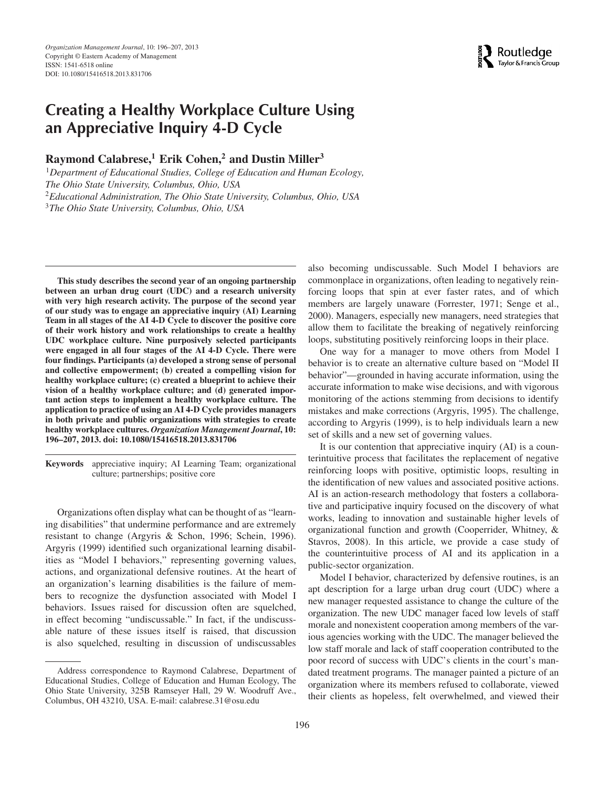

# **Creating a Healthy Workplace Culture Using an Appreciative Inquiry 4-D Cycle**

## **Raymond Calabrese,1 Erik Cohen,<sup>2</sup> and Dustin Miller<sup>3</sup>**

<sup>1</sup>*Department of Educational Studies, College of Education and Human Ecology, The Ohio State University, Columbus, Ohio, USA* <sup>2</sup>*Educational Administration, The Ohio State University, Columbus, Ohio, USA*

<sup>3</sup>*The Ohio State University, Columbus, Ohio, USA*

**This study describes the second year of an ongoing partnership between an urban drug court (UDC) and a research university with very high research activity. The purpose of the second year of our study was to engage an appreciative inquiry (AI) Learning Team in all stages of the AI 4-D Cycle to discover the positive core of their work history and work relationships to create a healthy UDC workplace culture. Nine purposively selected participants were engaged in all four stages of the AI 4-D Cycle. There were four findings. Participants (a) developed a strong sense of personal and collective empowerment; (b) created a compelling vision for healthy workplace culture; (c) created a blueprint to achieve their vision of a healthy workplace culture; and (d) generated important action steps to implement a healthy workplace culture. The application to practice of using an AI 4-D Cycle provides managers in both private and public organizations with strategies to create healthy workplace cultures.** *Organization Management Journal***, 10: 196–207, 2013. doi: 10.1080/15416518.2013.831706**

**Keywords** appreciative inquiry; AI Learning Team; organizational culture; partnerships; positive core

Organizations often display what can be thought of as "learning disabilities" that undermine performance and are extremely resistant to change (Argyris & Schon, 1996; Schein, 1996). Argyris (1999) identified such organizational learning disabilities as "Model I behaviors," representing governing values, actions, and organizational defensive routines. At the heart of an organization's learning disabilities is the failure of members to recognize the dysfunction associated with Model I behaviors. Issues raised for discussion often are squelched, in effect becoming "undiscussable." In fact, if the undiscussable nature of these issues itself is raised, that discussion is also squelched, resulting in discussion of undiscussables

also becoming undiscussable. Such Model I behaviors are commonplace in organizations, often leading to negatively reinforcing loops that spin at ever faster rates, and of which members are largely unaware (Forrester, 1971; Senge et al., 2000). Managers, especially new managers, need strategies that allow them to facilitate the breaking of negatively reinforcing loops, substituting positively reinforcing loops in their place.

One way for a manager to move others from Model I behavior is to create an alternative culture based on "Model II behavior"—grounded in having accurate information, using the accurate information to make wise decisions, and with vigorous monitoring of the actions stemming from decisions to identify mistakes and make corrections (Argyris, 1995). The challenge, according to Argyris (1999), is to help individuals learn a new set of skills and a new set of governing values.

It is our contention that appreciative inquiry (AI) is a counterintuitive process that facilitates the replacement of negative reinforcing loops with positive, optimistic loops, resulting in the identification of new values and associated positive actions. AI is an action-research methodology that fosters a collaborative and participative inquiry focused on the discovery of what works, leading to innovation and sustainable higher levels of organizational function and growth (Cooperrider, Whitney, & Stavros, 2008). In this article, we provide a case study of the counterintuitive process of AI and its application in a public-sector organization.

Model I behavior, characterized by defensive routines, is an apt description for a large urban drug court (UDC) where a new manager requested assistance to change the culture of the organization. The new UDC manager faced low levels of staff morale and nonexistent cooperation among members of the various agencies working with the UDC. The manager believed the low staff morale and lack of staff cooperation contributed to the poor record of success with UDC's clients in the court's mandated treatment programs. The manager painted a picture of an organization where its members refused to collaborate, viewed their clients as hopeless, felt overwhelmed, and viewed their

Address correspondence to Raymond Calabrese, Department of Educational Studies, College of Education and Human Ecology, The Ohio State University, 325B Ramseyer Hall, 29 W. Woodruff Ave., Columbus, OH 43210, USA. E-mail: calabrese.31@osu.edu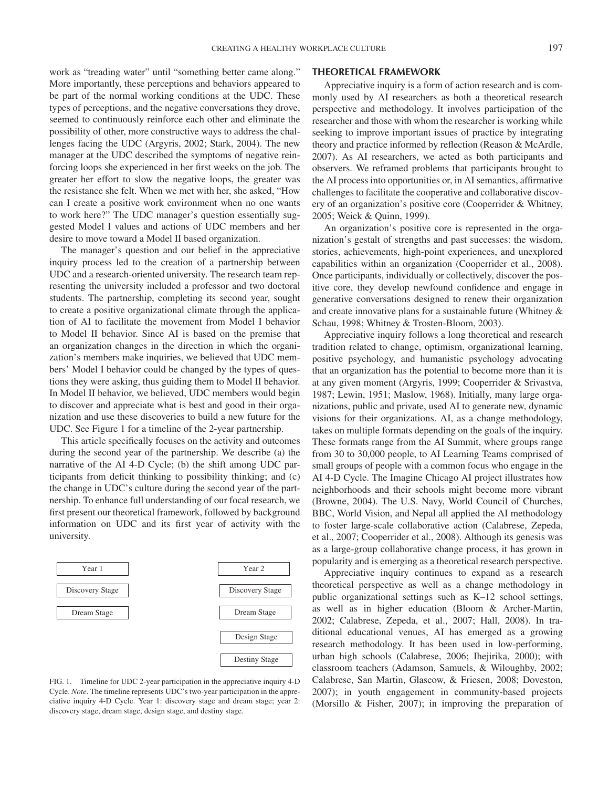work as "treading water" until "something better came along." More importantly, these perceptions and behaviors appeared to be part of the normal working conditions at the UDC. These types of perceptions, and the negative conversations they drove, seemed to continuously reinforce each other and eliminate the possibility of other, more constructive ways to address the challenges facing the UDC (Argyris, 2002; Stark, 2004). The new manager at the UDC described the symptoms of negative reinforcing loops she experienced in her first weeks on the job. The greater her effort to slow the negative loops, the greater was the resistance she felt. When we met with her, she asked, "How can I create a positive work environment when no one wants to work here?" The UDC manager's question essentially suggested Model I values and actions of UDC members and her desire to move toward a Model II based organization.

The manager's question and our belief in the appreciative inquiry process led to the creation of a partnership between UDC and a research-oriented university. The research team representing the university included a professor and two doctoral students. The partnership, completing its second year, sought to create a positive organizational climate through the application of AI to facilitate the movement from Model I behavior to Model II behavior. Since AI is based on the premise that an organization changes in the direction in which the organization's members make inquiries, we believed that UDC members' Model I behavior could be changed by the types of questions they were asking, thus guiding them to Model II behavior. In Model II behavior, we believed, UDC members would begin to discover and appreciate what is best and good in their organization and use these discoveries to build a new future for the UDC. See Figure 1 for a timeline of the 2-year partnership.

This article specifically focuses on the activity and outcomes during the second year of the partnership. We describe (a) the narrative of the AI 4-D Cycle; (b) the shift among UDC participants from deficit thinking to possibility thinking; and (c) the change in UDC's culture during the second year of the partnership. To enhance full understanding of our focal research, we first present our theoretical framework, followed by background information on UDC and its first year of activity with the university.



FIG. 1. Timeline for UDC 2-year participation in the appreciative inquiry 4-D Cycle. *Note*. The timeline represents UDC's two-year participation in the appreciative inquiry 4-D Cycle. Year 1: discovery stage and dream stage; year 2: discovery stage, dream stage, design stage, and destiny stage.

#### **THEORETICAL FRAMEWORK**

Appreciative inquiry is a form of action research and is commonly used by AI researchers as both a theoretical research perspective and methodology. It involves participation of the researcher and those with whom the researcher is working while seeking to improve important issues of practice by integrating theory and practice informed by reflection (Reason & McArdle, 2007). As AI researchers, we acted as both participants and observers. We reframed problems that participants brought to the AI process into opportunities or, in AI semantics, affirmative challenges to facilitate the cooperative and collaborative discovery of an organization's positive core (Cooperrider & Whitney, 2005; Weick & Quinn, 1999).

An organization's positive core is represented in the organization's gestalt of strengths and past successes: the wisdom, stories, achievements, high-point experiences, and unexplored capabilities within an organization (Cooperrider et al., 2008). Once participants, individually or collectively, discover the positive core, they develop newfound confidence and engage in generative conversations designed to renew their organization and create innovative plans for a sustainable future (Whitney  $\&$ Schau, 1998; Whitney & Trosten-Bloom, 2003).

Appreciative inquiry follows a long theoretical and research tradition related to change, optimism, organizational learning, positive psychology, and humanistic psychology advocating that an organization has the potential to become more than it is at any given moment (Argyris, 1999; Cooperrider & Srivastva, 1987; Lewin, 1951; Maslow, 1968). Initially, many large organizations, public and private, used AI to generate new, dynamic visions for their organizations. AI, as a change methodology, takes on multiple formats depending on the goals of the inquiry. These formats range from the AI Summit, where groups range from 30 to 30,000 people, to AI Learning Teams comprised of small groups of people with a common focus who engage in the AI 4-D Cycle. The Imagine Chicago AI project illustrates how neighborhoods and their schools might become more vibrant (Browne, 2004). The U.S. Navy, World Council of Churches, BBC, World Vision, and Nepal all applied the AI methodology to foster large-scale collaborative action (Calabrese, Zepeda, et al., 2007; Cooperrider et al., 2008). Although its genesis was as a large-group collaborative change process, it has grown in popularity and is emerging as a theoretical research perspective.

Appreciative inquiry continues to expand as a research theoretical perspective as well as a change methodology in public organizational settings such as K–12 school settings, as well as in higher education (Bloom & Archer-Martin, 2002; Calabrese, Zepeda, et al., 2007; Hall, 2008). In traditional educational venues, AI has emerged as a growing research methodology. It has been used in low-performing, urban high schools (Calabrese, 2006; Ihejirika, 2000); with classroom teachers (Adamson, Samuels, & Wiloughby, 2002; Calabrese, San Martin, Glascow, & Friesen, 2008; Doveston, 2007); in youth engagement in community-based projects (Morsillo & Fisher, 2007); in improving the preparation of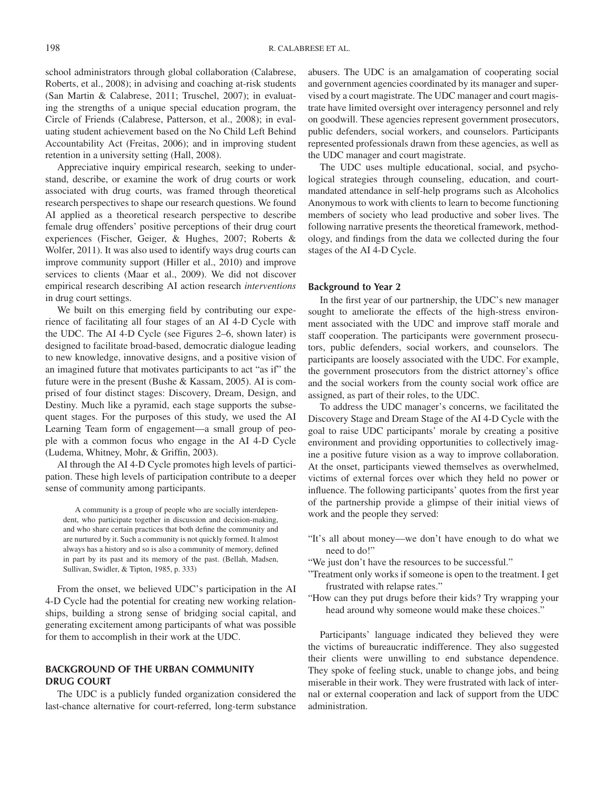school administrators through global collaboration (Calabrese, Roberts, et al., 2008); in advising and coaching at-risk students (San Martin & Calabrese, 2011; Truschel, 2007); in evaluating the strengths of a unique special education program, the Circle of Friends (Calabrese, Patterson, et al., 2008); in evaluating student achievement based on the No Child Left Behind Accountability Act (Freitas, 2006); and in improving student retention in a university setting (Hall, 2008).

Appreciative inquiry empirical research, seeking to understand, describe, or examine the work of drug courts or work associated with drug courts, was framed through theoretical research perspectives to shape our research questions. We found AI applied as a theoretical research perspective to describe female drug offenders' positive perceptions of their drug court experiences (Fischer, Geiger, & Hughes, 2007; Roberts & Wolfer, 2011). It was also used to identify ways drug courts can improve community support (Hiller et al., 2010) and improve services to clients (Maar et al., 2009). We did not discover empirical research describing AI action research *interventions* in drug court settings.

We built on this emerging field by contributing our experience of facilitating all four stages of an AI 4-D Cycle with the UDC. The AI 4-D Cycle (see Figures 2–6, shown later) is designed to facilitate broad-based, democratic dialogue leading to new knowledge, innovative designs, and a positive vision of an imagined future that motivates participants to act "as if" the future were in the present (Bushe & Kassam, 2005). AI is comprised of four distinct stages: Discovery, Dream, Design, and Destiny. Much like a pyramid, each stage supports the subsequent stages. For the purposes of this study, we used the AI Learning Team form of engagement—a small group of people with a common focus who engage in the AI 4-D Cycle (Ludema, Whitney, Mohr, & Griffin, 2003).

AI through the AI 4-D Cycle promotes high levels of participation. These high levels of participation contribute to a deeper sense of community among participants.

A community is a group of people who are socially interdependent, who participate together in discussion and decision-making, and who share certain practices that both define the community and are nurtured by it. Such a community is not quickly formed. It almost always has a history and so is also a community of memory, defined in part by its past and its memory of the past. (Bellah, Madsen, Sullivan, Swidler, & Tipton, 1985, p. 333)

From the onset, we believed UDC's participation in the AI 4-D Cycle had the potential for creating new working relationships, building a strong sense of bridging social capital, and generating excitement among participants of what was possible for them to accomplish in their work at the UDC.

#### **BACKGROUND OF THE URBAN COMMUNITY DRUG COURT**

The UDC is a publicly funded organization considered the last-chance alternative for court-referred, long-term substance

abusers. The UDC is an amalgamation of cooperating social and government agencies coordinated by its manager and supervised by a court magistrate. The UDC manager and court magistrate have limited oversight over interagency personnel and rely on goodwill. These agencies represent government prosecutors, public defenders, social workers, and counselors. Participants represented professionals drawn from these agencies, as well as the UDC manager and court magistrate.

The UDC uses multiple educational, social, and psychological strategies through counseling, education, and courtmandated attendance in self-help programs such as Alcoholics Anonymous to work with clients to learn to become functioning members of society who lead productive and sober lives. The following narrative presents the theoretical framework, methodology, and findings from the data we collected during the four stages of the AI 4-D Cycle.

#### **Background to Year 2**

In the first year of our partnership, the UDC's new manager sought to ameliorate the effects of the high-stress environment associated with the UDC and improve staff morale and staff cooperation. The participants were government prosecutors, public defenders, social workers, and counselors. The participants are loosely associated with the UDC. For example, the government prosecutors from the district attorney's office and the social workers from the county social work office are assigned, as part of their roles, to the UDC.

To address the UDC manager's concerns, we facilitated the Discovery Stage and Dream Stage of the AI 4-D Cycle with the goal to raise UDC participants' morale by creating a positive environment and providing opportunities to collectively imagine a positive future vision as a way to improve collaboration. At the onset, participants viewed themselves as overwhelmed, victims of external forces over which they held no power or influence. The following participants' quotes from the first year of the partnership provide a glimpse of their initial views of work and the people they served:

- "It's all about money—we don't have enough to do what we need to do!"
- "We just don't have the resources to be successful."
- "Treatment only works if someone is open to the treatment. I get frustrated with relapse rates."
- "How can they put drugs before their kids? Try wrapping your head around why someone would make these choices."

Participants' language indicated they believed they were the victims of bureaucratic indifference. They also suggested their clients were unwilling to end substance dependence. They spoke of feeling stuck, unable to change jobs, and being miserable in their work. They were frustrated with lack of internal or external cooperation and lack of support from the UDC administration.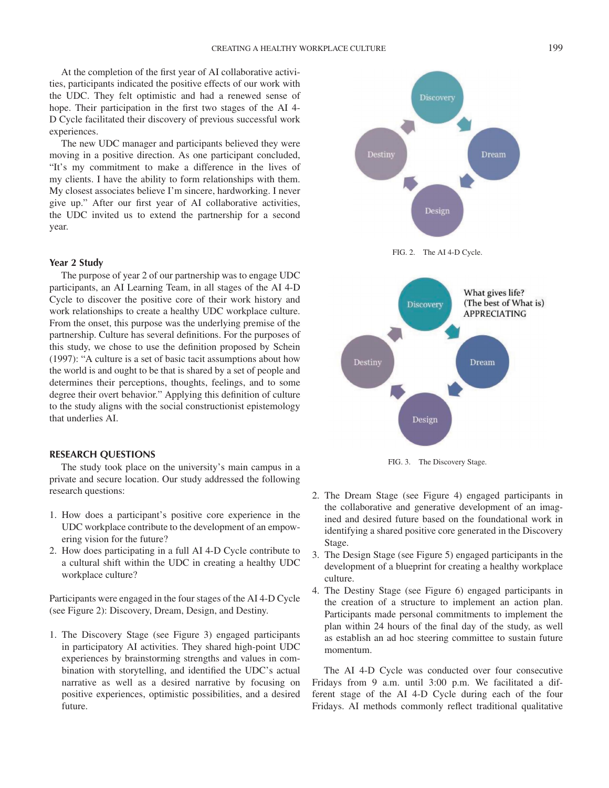At the completion of the first year of AI collaborative activities, participants indicated the positive effects of our work with the UDC. They felt optimistic and had a renewed sense of hope. Their participation in the first two stages of the AI 4- D Cycle facilitated their discovery of previous successful work experiences.

The new UDC manager and participants believed they were moving in a positive direction. As one participant concluded, "It's my commitment to make a difference in the lives of my clients. I have the ability to form relationships with them. My closest associates believe I'm sincere, hardworking. I never give up." After our first year of AI collaborative activities, the UDC invited us to extend the partnership for a second year.

#### **Year 2 Study**

The purpose of year 2 of our partnership was to engage UDC participants, an AI Learning Team, in all stages of the AI 4-D Cycle to discover the positive core of their work history and work relationships to create a healthy UDC workplace culture. From the onset, this purpose was the underlying premise of the partnership. Culture has several definitions. For the purposes of this study, we chose to use the definition proposed by Schein (1997): "A culture is a set of basic tacit assumptions about how the world is and ought to be that is shared by a set of people and determines their perceptions, thoughts, feelings, and to some degree their overt behavior." Applying this definition of culture to the study aligns with the social constructionist epistemology that underlies AI.

#### **RESEARCH QUESTIONS**

The study took place on the university's main campus in a private and secure location. Our study addressed the following research questions:

- 1. How does a participant's positive core experience in the UDC workplace contribute to the development of an empowering vision for the future?
- 2. How does participating in a full AI 4-D Cycle contribute to a cultural shift within the UDC in creating a healthy UDC workplace culture?

Participants were engaged in the four stages of the AI 4-D Cycle (see Figure 2): Discovery, Dream, Design, and Destiny.

1. The Discovery Stage (see Figure 3) engaged participants in participatory AI activities. They shared high-point UDC experiences by brainstorming strengths and values in combination with storytelling, and identified the UDC's actual narrative as well as a desired narrative by focusing on positive experiences, optimistic possibilities, and a desired future.



FIG. 3. The Discovery Stage.

- 2. The Dream Stage (see Figure 4) engaged participants in the collaborative and generative development of an imagined and desired future based on the foundational work in identifying a shared positive core generated in the Discovery Stage.
- 3. The Design Stage (see Figure 5) engaged participants in the development of a blueprint for creating a healthy workplace culture.
- 4. The Destiny Stage (see Figure 6) engaged participants in the creation of a structure to implement an action plan. Participants made personal commitments to implement the plan within 24 hours of the final day of the study, as well as establish an ad hoc steering committee to sustain future momentum.

The AI 4-D Cycle was conducted over four consecutive Fridays from 9 a.m. until 3:00 p.m. We facilitated a different stage of the AI 4-D Cycle during each of the four Fridays. AI methods commonly reflect traditional qualitative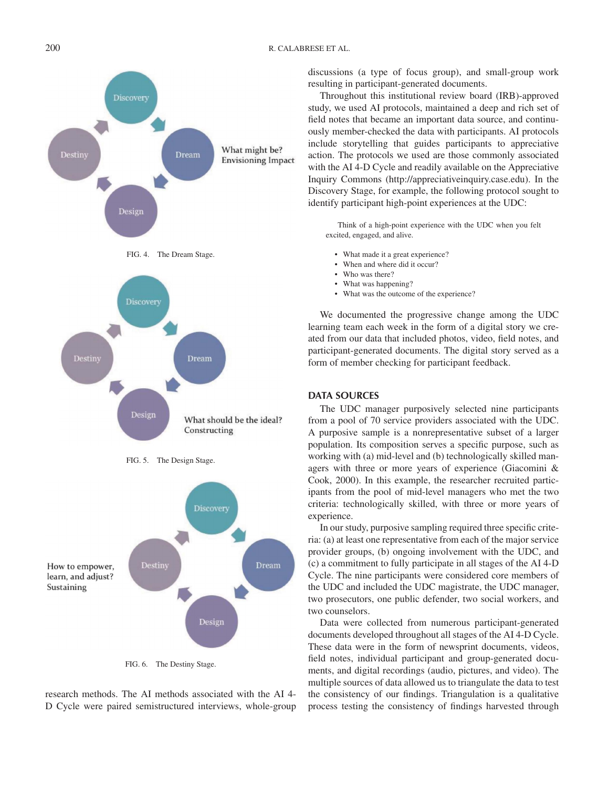

FIG. 6. The Destiny Stage.

research methods. The AI methods associated with the AI 4- D Cycle were paired semistructured interviews, whole-group discussions (a type of focus group), and small-group work resulting in participant-generated documents.

Throughout this institutional review board (IRB)-approved study, we used AI protocols, maintained a deep and rich set of field notes that became an important data source, and continuously member-checked the data with participants. AI protocols include storytelling that guides participants to appreciative action. The protocols we used are those commonly associated with the AI 4-D Cycle and readily available on the Appreciative Inquiry Commons (http://appreciativeinquiry.case.edu). In the Discovery Stage, for example, the following protocol sought to identify participant high-point experiences at the UDC:

Think of a high-point experience with the UDC when you felt excited, engaged, and alive.

- What made it a great experience?
- When and where did it occur?
- Who was there?
- What was happening?
- What was the outcome of the experience?

We documented the progressive change among the UDC learning team each week in the form of a digital story we created from our data that included photos, video, field notes, and participant-generated documents. The digital story served as a form of member checking for participant feedback.

#### **DATA SOURCES**

The UDC manager purposively selected nine participants from a pool of 70 service providers associated with the UDC. A purposive sample is a nonrepresentative subset of a larger population. Its composition serves a specific purpose, such as working with (a) mid-level and (b) technologically skilled managers with three or more years of experience (Giacomini & Cook, 2000). In this example, the researcher recruited participants from the pool of mid-level managers who met the two criteria: technologically skilled, with three or more years of experience.

In our study, purposive sampling required three specific criteria: (a) at least one representative from each of the major service provider groups, (b) ongoing involvement with the UDC, and (c) a commitment to fully participate in all stages of the AI 4-D Cycle. The nine participants were considered core members of the UDC and included the UDC magistrate, the UDC manager, two prosecutors, one public defender, two social workers, and two counselors.

Data were collected from numerous participant-generated documents developed throughout all stages of the AI 4-D Cycle. These data were in the form of newsprint documents, videos, field notes, individual participant and group-generated documents, and digital recordings (audio, pictures, and video). The multiple sources of data allowed us to triangulate the data to test the consistency of our findings. Triangulation is a qualitative process testing the consistency of findings harvested through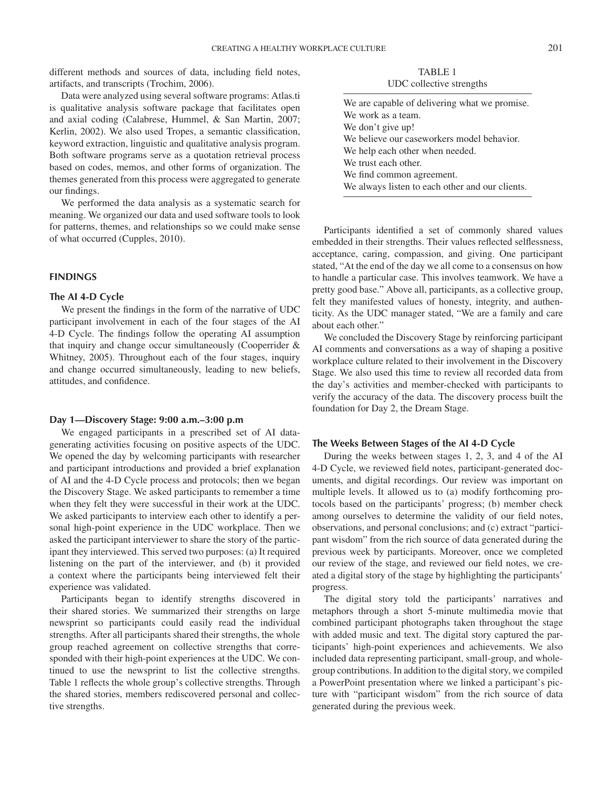different methods and sources of data, including field notes, artifacts, and transcripts (Trochim, 2006).

Data were analyzed using several software programs: Atlas.ti is qualitative analysis software package that facilitates open and axial coding (Calabrese, Hummel, & San Martin, 2007; Kerlin, 2002). We also used Tropes, a semantic classification, keyword extraction, linguistic and qualitative analysis program. Both software programs serve as a quotation retrieval process based on codes, memos, and other forms of organization. The themes generated from this process were aggregated to generate our findings.

We performed the data analysis as a systematic search for meaning. We organized our data and used software tools to look for patterns, themes, and relationships so we could make sense of what occurred (Cupples, 2010).

#### **FINDINGS**

#### **The AI 4-D Cycle**

We present the findings in the form of the narrative of UDC participant involvement in each of the four stages of the AI 4-D Cycle. The findings follow the operating AI assumption that inquiry and change occur simultaneously (Cooperrider & Whitney, 2005). Throughout each of the four stages, inquiry and change occurred simultaneously, leading to new beliefs, attitudes, and confidence.

#### **Day 1—Discovery Stage: 9:00 a.m.–3:00 p.m**

We engaged participants in a prescribed set of AI datagenerating activities focusing on positive aspects of the UDC. We opened the day by welcoming participants with researcher and participant introductions and provided a brief explanation of AI and the 4-D Cycle process and protocols; then we began the Discovery Stage. We asked participants to remember a time when they felt they were successful in their work at the UDC. We asked participants to interview each other to identify a personal high-point experience in the UDC workplace. Then we asked the participant interviewer to share the story of the participant they interviewed. This served two purposes: (a) It required listening on the part of the interviewer, and (b) it provided a context where the participants being interviewed felt their experience was validated.

Participants began to identify strengths discovered in their shared stories. We summarized their strengths on large newsprint so participants could easily read the individual strengths. After all participants shared their strengths, the whole group reached agreement on collective strengths that corresponded with their high-point experiences at the UDC. We continued to use the newsprint to list the collective strengths. Table 1 reflects the whole group's collective strengths. Through the shared stories, members rediscovered personal and collective strengths.

TABLE 1 UDC collective strengths

We are capable of delivering what we promise. We work as a team. We don't give up! We believe our caseworkers model behavior. We help each other when needed. We trust each other. We find common agreement. We always listen to each other and our clients.

Participants identified a set of commonly shared values embedded in their strengths. Their values reflected selflessness, acceptance, caring, compassion, and giving. One participant stated, "At the end of the day we all come to a consensus on how to handle a particular case. This involves teamwork. We have a pretty good base." Above all, participants, as a collective group, felt they manifested values of honesty, integrity, and authenticity. As the UDC manager stated, "We are a family and care about each other."

We concluded the Discovery Stage by reinforcing participant AI comments and conversations as a way of shaping a positive workplace culture related to their involvement in the Discovery Stage. We also used this time to review all recorded data from the day's activities and member-checked with participants to verify the accuracy of the data. The discovery process built the foundation for Day 2, the Dream Stage.

#### **The Weeks Between Stages of the AI 4-D Cycle**

During the weeks between stages 1, 2, 3, and 4 of the AI 4-D Cycle, we reviewed field notes, participant-generated documents, and digital recordings. Our review was important on multiple levels. It allowed us to (a) modify forthcoming protocols based on the participants' progress; (b) member check among ourselves to determine the validity of our field notes, observations, and personal conclusions; and (c) extract "participant wisdom" from the rich source of data generated during the previous week by participants. Moreover, once we completed our review of the stage, and reviewed our field notes, we created a digital story of the stage by highlighting the participants' progress.

The digital story told the participants' narratives and metaphors through a short 5-minute multimedia movie that combined participant photographs taken throughout the stage with added music and text. The digital story captured the participants' high-point experiences and achievements. We also included data representing participant, small-group, and wholegroup contributions. In addition to the digital story, we compiled a PowerPoint presentation where we linked a participant's picture with "participant wisdom" from the rich source of data generated during the previous week.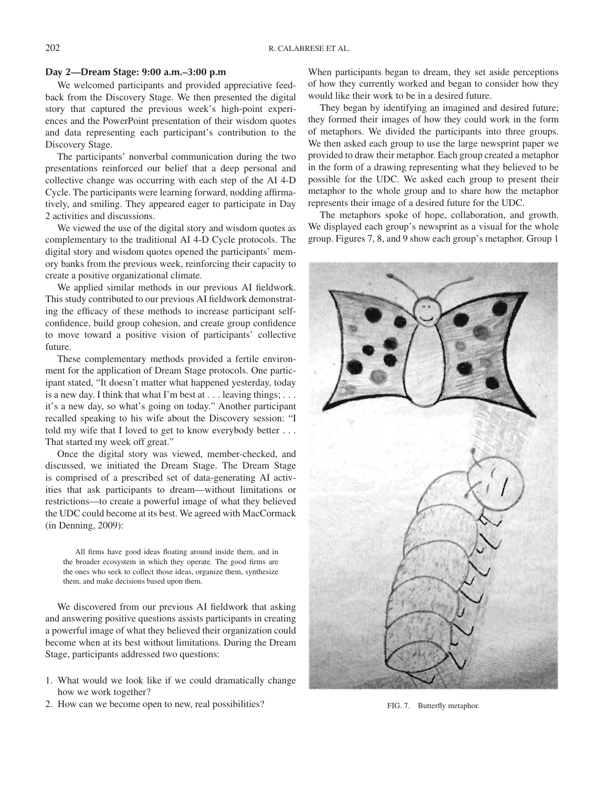#### **Day 2—Dream Stage: 9:00 a.m.–3:00 p.m**

We welcomed participants and provided appreciative feedback from the Discovery Stage. We then presented the digital story that captured the previous week's high-point experiences and the PowerPoint presentation of their wisdom quotes and data representing each participant's contribution to the Discovery Stage.

The participants' nonverbal communication during the two presentations reinforced our belief that a deep personal and collective change was occurring with each step of the AI 4-D Cycle. The participants were learning forward, nodding affirmatively, and smiling. They appeared eager to participate in Day 2 activities and discussions.

We viewed the use of the digital story and wisdom quotes as complementary to the traditional AI 4-D Cycle protocols. The digital story and wisdom quotes opened the participants' memory banks from the previous week, reinforcing their capacity to create a positive organizational climate.

We applied similar methods in our previous AI fieldwork. This study contributed to our previous AI fieldwork demonstrating the efficacy of these methods to increase participant selfconfidence, build group cohesion, and create group confidence to move toward a positive vision of participants' collective future.

These complementary methods provided a fertile environment for the application of Dream Stage protocols. One participant stated, "It doesn't matter what happened yesterday, today is a new day. I think that what I'm best at *...* leaving things; *...* it's a new day, so what's going on today." Another participant recalled speaking to his wife about the Discovery session: "I told my wife that I loved to get to know everybody better *...* That started my week off great."

Once the digital story was viewed, member-checked, and discussed, we initiated the Dream Stage. The Dream Stage is comprised of a prescribed set of data-generating AI activities that ask participants to dream—without limitations or restrictions—to create a powerful image of what they believed the UDC could become at its best. We agreed with MacCormack (in Denning, 2009):

All firms have good ideas floating around inside them, and in the broader ecosystem in which they operate. The good firms are the ones who seek to collect those ideas, organize them, synthesize them, and make decisions based upon them.

We discovered from our previous AI fieldwork that asking and answering positive questions assists participants in creating a powerful image of what they believed their organization could become when at its best without limitations. During the Dream Stage, participants addressed two questions:

- 1. What would we look like if we could dramatically change how we work together?
- 2. How can we become open to new, real possibilities?

When participants began to dream, they set aside perceptions of how they currently worked and began to consider how they would like their work to be in a desired future.

They began by identifying an imagined and desired future; they formed their images of how they could work in the form of metaphors. We divided the participants into three groups. We then asked each group to use the large newsprint paper we provided to draw their metaphor. Each group created a metaphor in the form of a drawing representing what they believed to be possible for the UDC. We asked each group to present their metaphor to the whole group and to share how the metaphor represents their image of a desired future for the UDC.

The metaphors spoke of hope, collaboration, and growth. We displayed each group's newsprint as a visual for the whole group. Figures 7, 8, and 9 show each group's metaphor. Group 1



FIG. 7. Butterfly metaphor.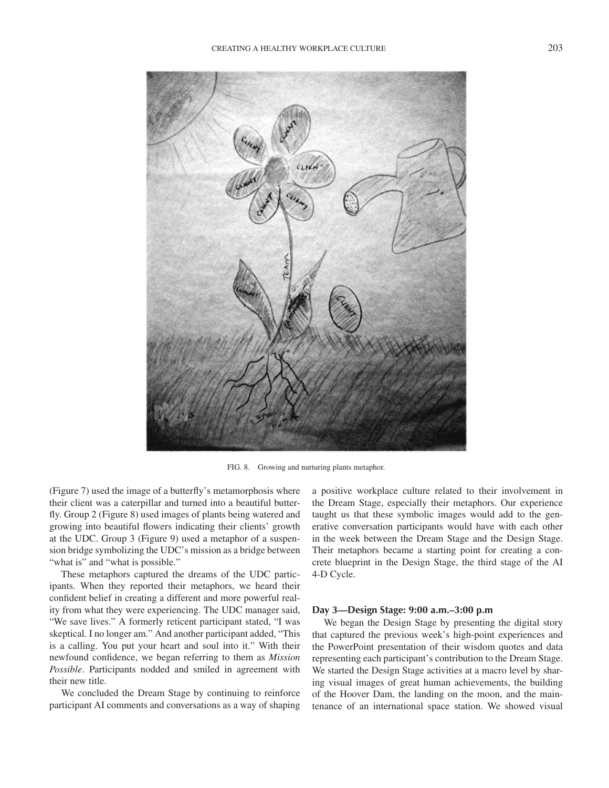

FIG. 8. Growing and nurturing plants metaphor.

(Figure 7) used the image of a butterfly's metamorphosis where their client was a caterpillar and turned into a beautiful butterfly. Group 2 (Figure 8) used images of plants being watered and growing into beautiful flowers indicating their clients' growth at the UDC. Group 3 (Figure 9) used a metaphor of a suspension bridge symbolizing the UDC's mission as a bridge between "what is" and "what is possible."

These metaphors captured the dreams of the UDC participants. When they reported their metaphors, we heard their confident belief in creating a different and more powerful reality from what they were experiencing. The UDC manager said, "We save lives." A formerly reticent participant stated, "I was skeptical. I no longer am." And another participant added, "This is a calling. You put your heart and soul into it." With their newfound confidence, we began referring to them as *Mission Possible*. Participants nodded and smiled in agreement with their new title.

We concluded the Dream Stage by continuing to reinforce participant AI comments and conversations as a way of shaping

a positive workplace culture related to their involvement in the Dream Stage, especially their metaphors. Our experience taught us that these symbolic images would add to the generative conversation participants would have with each other in the week between the Dream Stage and the Design Stage. Their metaphors became a starting point for creating a concrete blueprint in the Design Stage, the third stage of the AI 4-D Cycle.

#### **Day 3—Design Stage: 9:00 a.m.–3:00 p.m**

We began the Design Stage by presenting the digital story that captured the previous week's high-point experiences and the PowerPoint presentation of their wisdom quotes and data representing each participant's contribution to the Dream Stage. We started the Design Stage activities at a macro level by sharing visual images of great human achievements, the building of the Hoover Dam, the landing on the moon, and the maintenance of an international space station. We showed visual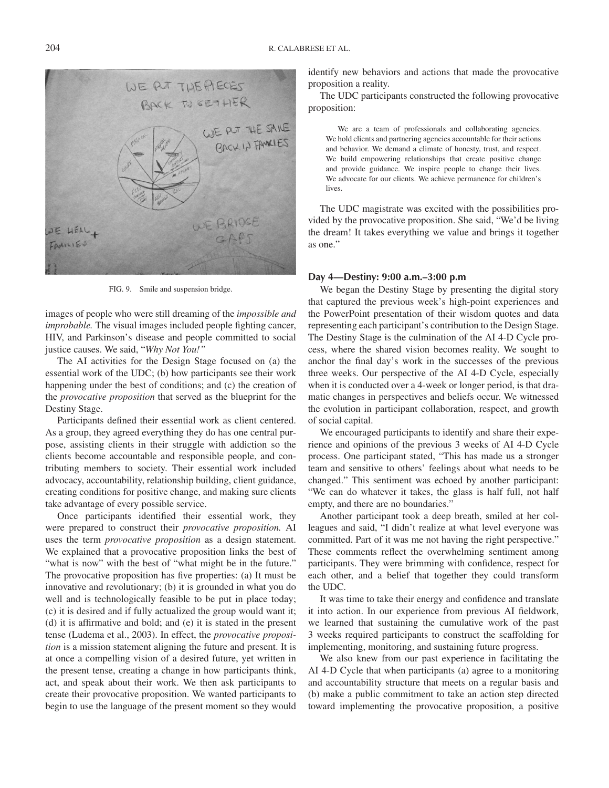

FIG. 9. Smile and suspension bridge.

images of people who were still dreaming of the *impossible and improbable.* The visual images included people fighting cancer, HIV, and Parkinson's disease and people committed to social justice causes. We said, "*Why Not You!"*

The AI activities for the Design Stage focused on (a) the essential work of the UDC; (b) how participants see their work happening under the best of conditions; and (c) the creation of the *provocative proposition* that served as the blueprint for the Destiny Stage.

Participants defined their essential work as client centered. As a group, they agreed everything they do has one central purpose, assisting clients in their struggle with addiction so the clients become accountable and responsible people, and contributing members to society. Their essential work included advocacy, accountability, relationship building, client guidance, creating conditions for positive change, and making sure clients take advantage of every possible service.

Once participants identified their essential work, they were prepared to construct their *provocative proposition.* AI uses the term *provocative proposition* as a design statement. We explained that a provocative proposition links the best of "what is now" with the best of "what might be in the future." The provocative proposition has five properties: (a) It must be innovative and revolutionary; (b) it is grounded in what you do well and is technologically feasible to be put in place today; (c) it is desired and if fully actualized the group would want it; (d) it is affirmative and bold; and (e) it is stated in the present tense (Ludema et al., 2003). In effect, the *provocative proposition* is a mission statement aligning the future and present. It is at once a compelling vision of a desired future, yet written in the present tense, creating a change in how participants think, act, and speak about their work. We then ask participants to create their provocative proposition. We wanted participants to begin to use the language of the present moment so they would

identify new behaviors and actions that made the provocative proposition a reality.

The UDC participants constructed the following provocative proposition:

We are a team of professionals and collaborating agencies. We hold clients and partnering agencies accountable for their actions and behavior. We demand a climate of honesty, trust, and respect. We build empowering relationships that create positive change and provide guidance. We inspire people to change their lives. We advocate for our clients. We achieve permanence for children's lives.

The UDC magistrate was excited with the possibilities provided by the provocative proposition. She said, "We'd be living the dream! It takes everything we value and brings it together as one."

#### **Day 4—Destiny: 9:00 a.m.–3:00 p.m**

We began the Destiny Stage by presenting the digital story that captured the previous week's high-point experiences and the PowerPoint presentation of their wisdom quotes and data representing each participant's contribution to the Design Stage. The Destiny Stage is the culmination of the AI 4-D Cycle process, where the shared vision becomes reality. We sought to anchor the final day's work in the successes of the previous three weeks. Our perspective of the AI 4-D Cycle, especially when it is conducted over a 4-week or longer period, is that dramatic changes in perspectives and beliefs occur. We witnessed the evolution in participant collaboration, respect, and growth of social capital.

We encouraged participants to identify and share their experience and opinions of the previous 3 weeks of AI 4-D Cycle process. One participant stated, "This has made us a stronger team and sensitive to others' feelings about what needs to be changed." This sentiment was echoed by another participant: "We can do whatever it takes, the glass is half full, not half empty, and there are no boundaries."

Another participant took a deep breath, smiled at her colleagues and said, "I didn't realize at what level everyone was committed. Part of it was me not having the right perspective." These comments reflect the overwhelming sentiment among participants. They were brimming with confidence, respect for each other, and a belief that together they could transform the UDC.

It was time to take their energy and confidence and translate it into action. In our experience from previous AI fieldwork, we learned that sustaining the cumulative work of the past 3 weeks required participants to construct the scaffolding for implementing, monitoring, and sustaining future progress.

We also knew from our past experience in facilitating the AI 4-D Cycle that when participants (a) agree to a monitoring and accountability structure that meets on a regular basis and (b) make a public commitment to take an action step directed toward implementing the provocative proposition, a positive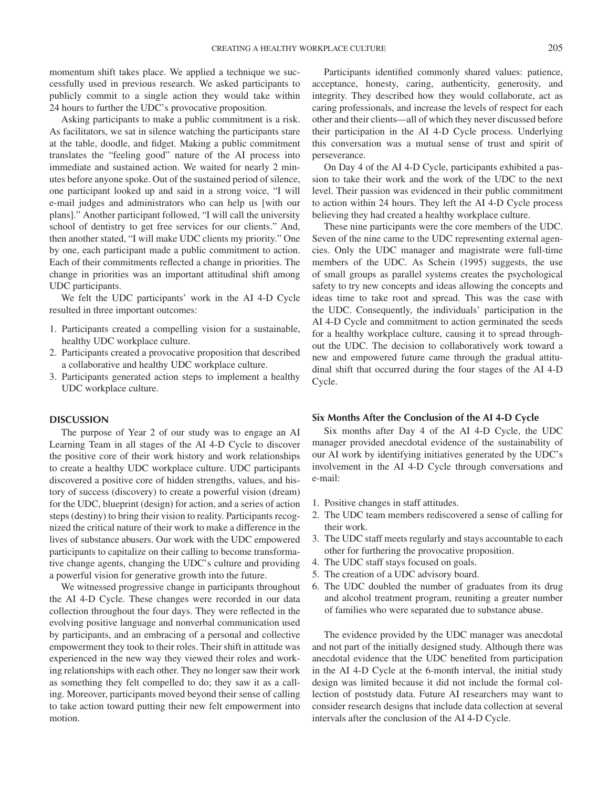momentum shift takes place. We applied a technique we successfully used in previous research. We asked participants to publicly commit to a single action they would take within 24 hours to further the UDC's provocative proposition.

Asking participants to make a public commitment is a risk. As facilitators, we sat in silence watching the participants stare at the table, doodle, and fidget. Making a public commitment translates the "feeling good" nature of the AI process into immediate and sustained action. We waited for nearly 2 minutes before anyone spoke. Out of the sustained period of silence, one participant looked up and said in a strong voice, "I will e-mail judges and administrators who can help us [with our plans]." Another participant followed, "I will call the university school of dentistry to get free services for our clients." And, then another stated, "I will make UDC clients my priority." One by one, each participant made a public commitment to action. Each of their commitments reflected a change in priorities. The change in priorities was an important attitudinal shift among UDC participants.

We felt the UDC participants' work in the AI 4-D Cycle resulted in three important outcomes:

- 1. Participants created a compelling vision for a sustainable, healthy UDC workplace culture.
- 2. Participants created a provocative proposition that described a collaborative and healthy UDC workplace culture.
- 3. Participants generated action steps to implement a healthy UDC workplace culture.

#### **DISCUSSION**

The purpose of Year 2 of our study was to engage an AI Learning Team in all stages of the AI 4-D Cycle to discover the positive core of their work history and work relationships to create a healthy UDC workplace culture. UDC participants discovered a positive core of hidden strengths, values, and history of success (discovery) to create a powerful vision (dream) for the UDC, blueprint (design) for action, and a series of action steps (destiny) to bring their vision to reality. Participants recognized the critical nature of their work to make a difference in the lives of substance abusers. Our work with the UDC empowered participants to capitalize on their calling to become transformative change agents, changing the UDC's culture and providing a powerful vision for generative growth into the future.

We witnessed progressive change in participants throughout the AI 4-D Cycle. These changes were recorded in our data collection throughout the four days. They were reflected in the evolving positive language and nonverbal communication used by participants, and an embracing of a personal and collective empowerment they took to their roles. Their shift in attitude was experienced in the new way they viewed their roles and working relationships with each other. They no longer saw their work as something they felt compelled to do; they saw it as a calling. Moreover, participants moved beyond their sense of calling to take action toward putting their new felt empowerment into motion.

Participants identified commonly shared values: patience, acceptance, honesty, caring, authenticity, generosity, and integrity. They described how they would collaborate, act as caring professionals, and increase the levels of respect for each other and their clients—all of which they never discussed before their participation in the AI 4-D Cycle process. Underlying this conversation was a mutual sense of trust and spirit of perseverance.

On Day 4 of the AI 4-D Cycle, participants exhibited a passion to take their work and the work of the UDC to the next level. Their passion was evidenced in their public commitment to action within 24 hours. They left the AI 4-D Cycle process believing they had created a healthy workplace culture.

These nine participants were the core members of the UDC. Seven of the nine came to the UDC representing external agencies. Only the UDC manager and magistrate were full-time members of the UDC. As Schein (1995) suggests, the use of small groups as parallel systems creates the psychological safety to try new concepts and ideas allowing the concepts and ideas time to take root and spread. This was the case with the UDC. Consequently, the individuals' participation in the AI 4-D Cycle and commitment to action germinated the seeds for a healthy workplace culture, causing it to spread throughout the UDC. The decision to collaboratively work toward a new and empowered future came through the gradual attitudinal shift that occurred during the four stages of the AI 4-D Cycle.

#### **Six Months After the Conclusion of the AI 4-D Cycle**

Six months after Day 4 of the AI 4-D Cycle, the UDC manager provided anecdotal evidence of the sustainability of our AI work by identifying initiatives generated by the UDC's involvement in the AI 4-D Cycle through conversations and e-mail:

- 1. Positive changes in staff attitudes.
- 2. The UDC team members rediscovered a sense of calling for their work.
- 3. The UDC staff meets regularly and stays accountable to each other for furthering the provocative proposition.
- 4. The UDC staff stays focused on goals.
- 5. The creation of a UDC advisory board.
- 6. The UDC doubled the number of graduates from its drug and alcohol treatment program, reuniting a greater number of families who were separated due to substance abuse.

The evidence provided by the UDC manager was anecdotal and not part of the initially designed study. Although there was anecdotal evidence that the UDC benefited from participation in the AI 4-D Cycle at the 6-month interval, the initial study design was limited because it did not include the formal collection of poststudy data. Future AI researchers may want to consider research designs that include data collection at several intervals after the conclusion of the AI 4-D Cycle.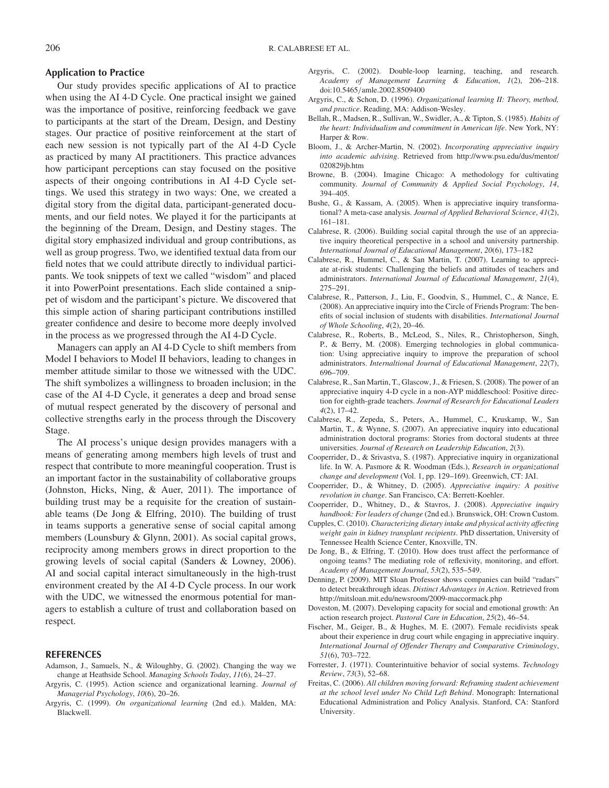#### **Application to Practice**

Our study provides specific applications of AI to practice when using the AI 4-D Cycle. One practical insight we gained was the importance of positive, reinforcing feedback we gave to participants at the start of the Dream, Design, and Destiny stages. Our practice of positive reinforcement at the start of each new session is not typically part of the AI 4-D Cycle as practiced by many AI practitioners. This practice advances how participant perceptions can stay focused on the positive aspects of their ongoing contributions in AI 4-D Cycle settings. We used this strategy in two ways: One, we created a digital story from the digital data, participant-generated documents, and our field notes. We played it for the participants at the beginning of the Dream, Design, and Destiny stages. The digital story emphasized individual and group contributions, as well as group progress. Two, we identified textual data from our field notes that we could attribute directly to individual participants. We took snippets of text we called "wisdom" and placed it into PowerPoint presentations. Each slide contained a snippet of wisdom and the participant's picture. We discovered that this simple action of sharing participant contributions instilled greater confidence and desire to become more deeply involved in the process as we progressed through the AI 4-D Cycle.

Managers can apply an AI 4-D Cycle to shift members from Model I behaviors to Model II behaviors, leading to changes in member attitude similar to those we witnessed with the UDC. The shift symbolizes a willingness to broaden inclusion; in the case of the AI 4-D Cycle, it generates a deep and broad sense of mutual respect generated by the discovery of personal and collective strengths early in the process through the Discovery Stage.

The AI process's unique design provides managers with a means of generating among members high levels of trust and respect that contribute to more meaningful cooperation. Trust is an important factor in the sustainability of collaborative groups (Johnston, Hicks, Ning, & Auer, 2011). The importance of building trust may be a requisite for the creation of sustainable teams (De Jong & Elfring, 2010). The building of trust in teams supports a generative sense of social capital among members (Lounsbury & Glynn, 2001). As social capital grows, reciprocity among members grows in direct proportion to the growing levels of social capital (Sanders & Lowney, 2006). AI and social capital interact simultaneously in the high-trust environment created by the AI 4-D Cycle process. In our work with the UDC, we witnessed the enormous potential for managers to establish a culture of trust and collaboration based on respect.

#### **REFERENCES**

- Adamson, J., Samuels, N., & Wiloughby, G. (2002). Changing the way we change at Heathside School. *Managing Schools Today*, *11*(6), 24–27.
- Argyris, C. (1995). Action science and organizational learning. *Journal of Managerial Psychology*, *10*(6), 20–26.
- Argyris, C. (1999). *On organizational learning* (2nd ed.). Malden, MA: Blackwell.
- Argyris, C. (2002). Double-loop learning, teaching, and research. *Academy of Management Learning & Education*, *1*(2), 206–218. doi:10.5465*/*amle.2002.8509400
- Argyris, C., & Schon, D. (1996). *Organizational learning II: Theory, method, and practice*. Reading, MA: Addison-Wesley.
- Bellah, R., Madsen, R., Sullivan, W., Swidler, A., & Tipton, S. (1985). *Habits of the heart: Individualism and commitment in American life*. New York, NY: Harper & Row.
- Bloom, J., & Archer-Martin, N. (2002). *Incorporating appreciative inquiry into academic advising*. Retrieved from http://www.psu.edu/dus/mentor/ 020829jb.htm
- Browne, B. (2004). Imagine Chicago: A methodology for cultivating community. *Journal of Community & Applied Social Psychology*, *14*, 394–405.
- Bushe, G., & Kassam, A. (2005). When is appreciative inquiry transformational? A meta-case analysis. *Journal of Applied Behavioral Science*, *41*(2), 161–181.
- Calabrese, R. (2006). Building social capital through the use of an appreciative inquiry theoretical perspective in a school and university partnership. *International Journal of Educational Management*, *20*(6), 173–182
- Calabrese, R., Hummel, C., & San Martin, T. (2007). Learning to appreciate at-risk students: Challenging the beliefs and attitudes of teachers and administrators. *International Journal of Educational Management*, *21*(4), 275–291.
- Calabrese, R., Patterson, J., Liu, F., Goodvin, S., Hummel, C., & Nance, E. (2008). An appreciative inquiry into the Circle of Friends Program: The benefits of social inclusion of students with disabilities. *International Journal of Whole Schooling*, *4*(2), 20–46.
- Calabrese, R., Roberts, B., McLeod, S., Niles, R., Christopherson, Singh, P., & Berry, M. (2008). Emerging technologies in global communication: Using appreciative inquiry to improve the preparation of school administrators. *Internaltional Journal of Educational Management*, *22*(7), 696–709.
- Calabrese, R., San Martin, T., Glascow, J., & Friesen, S. (2008). The power of an appreciative inquiry 4-D cycle in a non-AYP middleschool: Positive direction for eighth-grade teachers. *Journal of Research for Educational Leaders 4*(2), 17–42.
- Calabrese, R., Zepeda, S., Peters, A., Hummel, C., Kruskamp, W., San Martin, T., & Wynne, S. (2007). An appreciative inquiry into educational administration doctoral programs: Stories from doctoral students at three universities. *Journal of Research on Leadership Education*, *2*(3).
- Cooperrider, D., & Srivastva, S. (1987). Appreciative inquiry in organizational life. In W. A. Pasmore & R. Woodman (Eds.), *Research in organizational change and development* (Vol. 1, pp. 129–169). Greenwich, CT: JAI.
- Cooperrider, D., & Whitney, D. (2005). *Appreciative inquiry: A positive revolution in change*. San Francisco, CA: Berrett-Koehler.
- Cooperrider, D., Whitney, D., & Stavros, J. (2008). *Appreciative inquiry handbook: For leaders of change* (2nd ed.). Brunswick, OH: Crown Custom.
- Cupples, C. (2010). *Characterizing dietary intake and physical activity affecting weight gain in kidney transplant recipients*. PhD dissertation, University of Tennessee Health Science Center, Knoxville, TN.
- De Jong, B., & Elfring, T. (2010). How does trust affect the performance of ongoing teams? The mediating role of reflexivity, monitoring, and effort. *Academy of Management Journal*, *53*(2), 535–549.
- Denning, P. (2009). MIT Sloan Professor shows companies can build "radars" to detect breakthrough ideas. *Distinct Advantages in Action*. Retrieved from http://mitsloan.mit.edu/newsroom/2009-maccormack.php
- Doveston, M. (2007). Developing capacity for social and emotional growth: An action research project. *Pastoral Care in Education*, *25*(2), 46–54.
- Fischer, M., Geiger, B., & Hughes, M. E. (2007). Female recidivists speak about their experience in drug court while engaging in appreciative inquiry. *International Journal of Offender Therapy and Comparative Criminology*, *51*(6), 703–722.
- Forrester, J. (1971). Counterintuitive behavior of social systems. *Technology Review*, *73*(3), 52–68.
- Freitas, C. (2006). *All children moving forward: Reframing student achievement at the school level under No Child Left Behind*. Monograph: International Educational Administration and Policy Analysis. Stanford, CA: Stanford University.